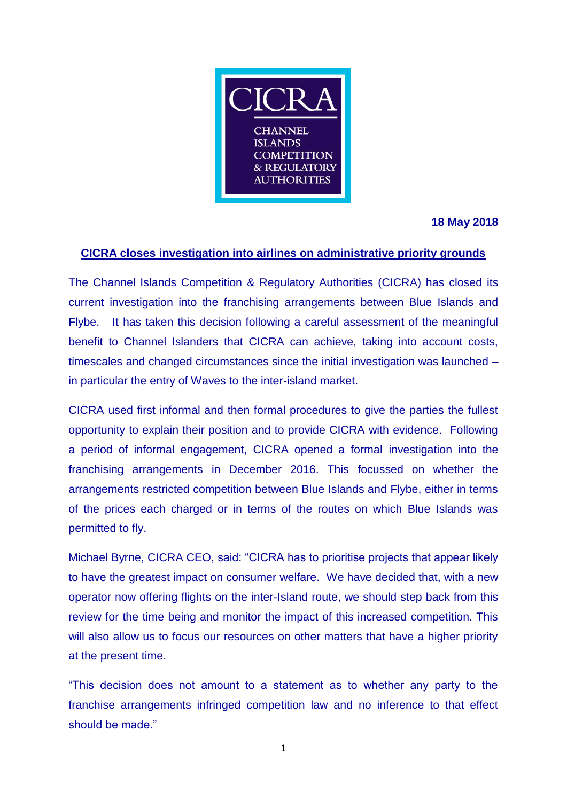

**18 May 2018**

## **CICRA closes investigation into airlines on administrative priority grounds**

The Channel Islands Competition & Regulatory Authorities (CICRA) has closed its current investigation into the franchising arrangements between Blue Islands and Flybe. It has taken this decision following a careful assessment of the meaningful benefit to Channel Islanders that CICRA can achieve, taking into account costs, timescales and changed circumstances since the initial investigation was launched – in particular the entry of Waves to the inter-island market.

CICRA used first informal and then formal procedures to give the parties the fullest opportunity to explain their position and to provide CICRA with evidence. Following a period of informal engagement, CICRA opened a formal investigation into the franchising arrangements in December 2016. This focussed on whether the arrangements restricted competition between Blue Islands and Flybe, either in terms of the prices each charged or in terms of the routes on which Blue Islands was permitted to fly.

Michael Byrne, CICRA CEO, said: "CICRA has to prioritise projects that appear likely to have the greatest impact on consumer welfare. We have decided that, with a new operator now offering flights on the inter-Island route, we should step back from this review for the time being and monitor the impact of this increased competition. This will also allow us to focus our resources on other matters that have a higher priority at the present time.

"This decision does not amount to a statement as to whether any party to the franchise arrangements infringed competition law and no inference to that effect should be made."